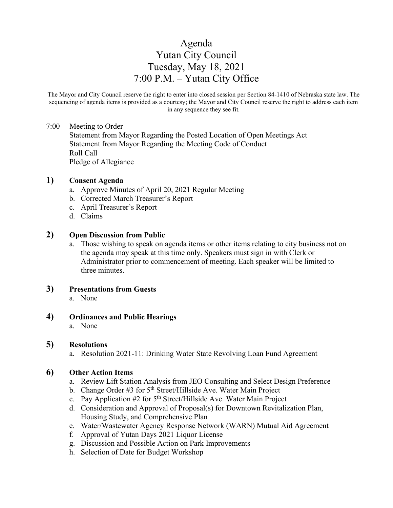# Agenda Yutan City Council Tuesday, May 18, 2021 7:00 P.M. – Yutan City Office

The Mayor and City Council reserve the right to enter into closed session per Section 84-1410 of Nebraska state law. The sequencing of agenda items is provided as a courtesy; the Mayor and City Council reserve the right to address each item in any sequence they see fit.

# 7:00 Meeting to Order

Statement from Mayor Regarding the Posted Location of Open Meetings Act Statement from Mayor Regarding the Meeting Code of Conduct Roll Call Pledge of Allegiance

## **1) Consent Agenda**

- a. Approve Minutes of April 20, 2021 Regular Meeting
- b. Corrected March Treasurer's Report
- c. April Treasurer's Report
- d. Claims

## **2) Open Discussion from Public**

a. Those wishing to speak on agenda items or other items relating to city business not on the agenda may speak at this time only. Speakers must sign in with Clerk or Administrator prior to commencement of meeting. Each speaker will be limited to three minutes.

#### **3) Presentations from Guests**

- a. None
- **4) Ordinances and Public Hearings**

#### a. None

# **5) Resolutions**

a. Resolution 2021-11: Drinking Water State Revolving Loan Fund Agreement

# **6) Other Action Items**

- a. Review Lift Station Analysis from JEO Consulting and Select Design Preference
- b. Change Order #3 for  $5<sup>th</sup> Street/Hillside$  Ave. Water Main Project
- c. Pay Application #2 for  $5<sup>th</sup> Street/Hillside$  Ave. Water Main Project
- d. Consideration and Approval of Proposal(s) for Downtown Revitalization Plan, Housing Study, and Comprehensive Plan
- e. Water/Wastewater Agency Response Network (WARN) Mutual Aid Agreement
- f. Approval of Yutan Days 2021 Liquor License
- g. Discussion and Possible Action on Park Improvements
- h. Selection of Date for Budget Workshop